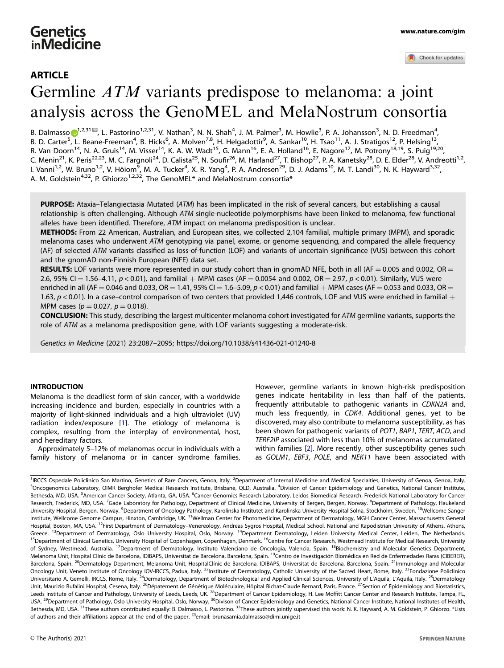# Germline ATM variants predispose to melanoma: a joint analysis across the GenoMEL and MelaNostrum consortia

B. Dalmasso <mark>D</mark><sup>[1](http://orcid.org/0000-0002-1534-0521),2,31⊠</sup>, L. Pastorino<sup>1,2,31</sup>, V. Nathan<sup>3</sup>, N. N. Shah<sup>4</sup>, J. M. Palmer<sup>3</sup>, M. Howlie<sup>3</sup>, P. A. Johansson<sup>3</sup>, N. D. Freedman<sup>4</sup>, B. D. Carter<sup>[5](http://orcid.org/0000-0002-1534-0521)</sup>, L. Beane-Freeman<sup>4</sup>, B. Hicks<sup>6</sup>, A. Molven<sup>7,8</sup>, H. Helgadottir<sup>9</sup>, A. Sankar<sup>10</sup>, H. Tsao<sup>11</sup>, A. J. Stratigos<sup>12</sup>, P. Helsing<sup>13</sup>, R. Van Doorn<sup>14</sup>, N. A. Gruis<sup>14</sup>, M. Visser<sup>14</sup>, K. A. W. Wadt<sup>15</sup>, G. Mann<sup>16</sup>, E. A. Holland<sup>16</sup>, E. Nagore<sup>17</sup>, M. Potrony<sup>18,19</sup>, S. Puig<sup>19,20</sup>, C. Menin<sup>21</sup>, K. Peris<sup>22,23</sup>, M. C. Fargnoli<sup>24</sup>, D. Calista<sup>25</sup>, N. Soufir<sup>26</sup>, M. Harland<sup>27</sup>, T. Bishop<sup>27</sup>, P. A. Kanetsky<sup>28</sup>, D. E. Elder<sup>28</sup>, V. Andreotti<sup>1,2</sup>, l. Vanni<sup>1,2</sup>, W. Bruno<sup>1,2</sup>, V. Höiom<sup>9</sup>, M. A. Tucker<sup>4</sup>, X. R. Yang<sup>4</sup>, P. A. Andresen<sup>29</sup>, D. J. Adams<sup>10</sup>, M. T. Landi<sup>30</sup>, N. K. Hayward<sup>3,32</sup>, A. M. Goldstein<sup>4,32</sup>, P. Ghiorzo<sup>1,2,32</sup>, The GenoMEL\* and MelaNostrum consortia\*

PURPOSE: Ataxia–Telangiectasia Mutated (ATM) has been implicated in the risk of several cancers, but establishing a causal relationship is often challenging. Although ATM single-nucleotide polymorphisms have been linked to melanoma, few functional alleles have been identified. Therefore, ATM impact on melanoma predisposition is unclear.

METHODS: From 22 American, Australian, and European sites, we collected 2,104 familial, multiple primary (MPM), and sporadic melanoma cases who underwent ATM genotyping via panel, exome, or genome sequencing, and compared the allele frequency (AF) of selected ATM variants classified as loss-of-function (LOF) and variants of uncertain significance (VUS) between this cohort and the gnomAD non-Finnish European (NFE) data set.

**RESULTS:** LOF variants were more represented in our study cohort than in gnomAD NFE, both in all (AF = 0.005 and 0.002, OR = 2.6, 95% CI = 1.56–4.11,  $p < 0.01$ ), and familial + MPM cases (AF = 0.0054 and 0.002, OR = 2.97,  $p < 0.01$ ). Similarly, VUS were

enriched in all (AF = 0.046 and 0.033, OR = 1.41, 95% CI = 1.6-5.09,  $p < 0.01$ ) and familial + MPM cases (AF = 0.053 and 0.033, OR = 1.63,  $p$  < 0.01). In a case–control comparison of two centers that provided 1,446 controls, LOF and VUS were enriched in familial + MPM cases ( $p = 0.027$ ,  $p = 0.018$ ).

CONCLUSION: This study, describing the largest multicenter melanoma cohort investigated for ATM germline variants, supports the role of ATM as a melanoma predisposition gene, with LOF variants suggesting a moderate-risk.

Genetics in Medicine (2021) 23:2087–2095; https://doi.org/10.1038/s41436-021-01240-8

# **INTRODUCTION**

Melanoma is the deadliest form of skin cancer, with a worldwide increasing incidence and burden, especially in countries with a majority of light-skinned individuals and a high ultraviolet (UV) radiation index/exposure [\[1](#page-7-0)]. The etiology of melanoma is complex, resulting from the interplay of environmental, host, and hereditary factors.

Approximately 5–12% of melanomas occur in individuals with a family history of melanoma or in cancer syndrome families. However, germline variants in known high-risk predisposition genes indicate heritability in less than half of the patients, frequently attributable to pathogenic variants in CDKN2A and, much less frequently, in CDK4. Additional genes, yet to be discovered, may also contribute to melanoma susceptibility, as has been shown for pathogenic variants of POT1, BAP1, TERT, ACD, and TERF2IP associated with less than 10% of melanomas accumulated within families [[2](#page-7-0)]. More recently, other susceptibility genes such as GOLM1, EBF3, POLE, and NEK11 have been associated with

<sup>1</sup>IRCCS Ospedale Policlinico San Martino, Genetics of Rare Cancers, Genoa, Italy. <sup>2</sup>Department of Internal Medicine and Medical Specialties, University of Genoa, Genoa, Italy. <sup>3</sup> Oncogenomics Laboratory, QIMR Berghofer Medical Research Institute, Brisbane, QLD, Australia. <sup>4</sup> Division of Cancer Epidemiology and Genetics, National Cancer Institute, Bethesda, MD, USA. <sup>5</sup>American Cancer Society, Atlanta, GA, USA. <sup>6</sup>Cancer Genomics Research Laboratory, Leidos Biomedical Research, Frederick National Laboratory for Cancer Research, Frederick, MD, USA. <sup>7</sup>Gade Laboratory for Pathology, Department of Clinical Medicine, University of Bergen, Bergen, Norway. <sup>8</sup>Department of Pathology, Haukeland University Hospital, Bergen, Norway. <sup>9</sup>Department of Oncology Pathology, Karolinska Institutet and Karolinska University Hospital Solna, Stockholm, Sweden. <sup>10</sup>Wellcome Sanger Institute, Wellcome Genome Campus, Hinxton, Cambridge, UK.<sup>11</sup>Wellman Center for Photomedicine, Department of Dermatology, MGH Cancer Center, Massachusetts General Hospital, Boston, MA, USA. <sup>12</sup>First Department of Dermatology–Venereology, Andreas Sygros Hospital, Medical School, National and Kapodistrian University of Athens, Athens, Greece. <sup>13</sup>Department of Dermatology, Oslo University Hospital, Oslo, Norway. <sup>14</sup>Department Dermatology, Leiden University Medical Center, Leiden, The Netherlands. <sup>15</sup>Department of Clinical Genetics, University Hospital of Copenhagen, Copenhagen, Denmark. <sup>16</sup>Centre for Cancer Research, Westmead Institute for Medical Research, University of Sydney, Westmead, Australia. <sup>17</sup>Department of Dermatology, Instituto Valenciano de Oncologia, Valencia, Spain. <sup>18</sup>Biochemistry and Molecular Genetics Department, Melanoma Unit, Hospital Clínic de Barcelona, IDIBAPS, Universitat de Barcelona, Barcelona, Spain.<sup>19</sup>Centro de Investigación Biomédica en Red de Enfermedades Raras (CIBERER), Barcelona, Spain. <sup>20</sup>Dermatology Department, Melanoma Unit, HospitalClínic de Barcelona, IDIBAPS, Universitat de Barcelona, Barcelona, Spain. <sup>21</sup>Immunology and Molecular Oncology Unit, Veneto Institute of Oncology IOV-IRCCS, Padua, Italy. <sup>22</sup>Institute of Dermatology, Catholic University of the Sacred Heart, Rome, Italy. <sup>23</sup>Fondazione Policlinico Universitario A. Gemelli, IRCCS, Rome, Italy. <sup>24</sup>Dermatology, Department of Biotechnological and Applied Clinical Sciences, University of L'Aquila, L'Aquila, Italy. <sup>25</sup>Dermatology Unit, Maurizio Bufalini Hospital, Cesena, Italy. <sup>26</sup>Dépatement de Génétique Moléculaire, Hôpital Bichat-Claude Bernard, Paris, France. <sup>27</sup>Section of Epidemiology and Biostatistics, Leeds Institute of Cancer and Pathology, University of Leeds, Leeds, UK. <sup>28</sup>Department of Cancer Epidemiology, H. Lee Moffitt Cancer Center and Research Institute, Tampa, FL, USA. <sup>29</sup>Department of Pathology, Oslo University Hospital, Oslo, Norway. <sup>30</sup>Divison of Cancer Epidemiology and Genetics, National Cancer Institute, National Institutes of Health, Bethesda, MD, USA. <sup>31</sup>These authors contributed equally: B. Dalmasso, L. Pastorino. <sup>32</sup>These authors jointly supervised this work: N. K. Hayward, A. M. Goldstein, P. Ghiorzo. \*Lists of authors and their affiliations appear at the end of the paper. <sup>
</sup>email: [brunasamia.dalmasso@dimi.unige.it](mailto:brunasamia.dalmasso@dimi.unige.it)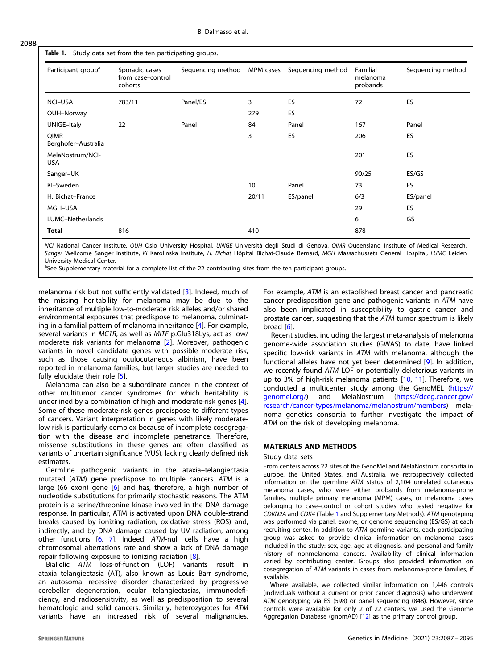# Table 1. Study data set from the ten participating groups.

| Participant group <sup>a</sup> | Sporadic cases<br>from case-control<br>cohorts | Sequencing method MPM cases |       | Sequencing method | Familial<br>melanoma<br>probands | Sequencing method |
|--------------------------------|------------------------------------------------|-----------------------------|-------|-------------------|----------------------------------|-------------------|
| <b>NCI-USA</b>                 | 783/11                                         | Panel/ES                    | 3     | ES                | 72                               | ES                |
| OUH-Norway                     |                                                |                             | 279   | ES                |                                  |                   |
| UNIGE-Italy                    | 22                                             | Panel                       | 84    | Panel             | 167                              | Panel             |
| QIMR<br>Berghofer-Australia    |                                                |                             | 3     | ES                | 206                              | ES                |
| MelaNostrum/NCI-<br><b>USA</b> |                                                |                             |       |                   | 201                              | ES                |
| Sanger-UK                      |                                                |                             |       |                   | 90/25                            | ES/GS             |
| KI-Sweden                      |                                                |                             | 10    | Panel             | 73                               | ES                |
| H. Bichat-France               |                                                |                             | 20/11 | ES/panel          | 6/3                              | ES/panel          |
| MGH-USA                        |                                                |                             |       |                   | 29                               | ES                |
| LUMC-Netherlands               |                                                |                             |       |                   | 6                                | GS                |
| <b>Total</b>                   | 816                                            |                             | 410   |                   | 878                              |                   |

NCI National Cancer Institute, OUH Oslo University Hospital, UNIGE Università degli Studi di Genova, QIMR Queensland Institute of Medical Research, Sanger Wellcome Sanger Institute, KI Karolinska Institute, H. Bichat Hôpital Bichat-Claude Bernard, MGH Massachussets General Hospital, LUMC Leiden University Medical Center.

<sup>a</sup>See Supplementary material for a complete list of the 22 contributing sites from the ten participant groups.

melanoma risk but not sufficiently validated [[3](#page-7-0)]. Indeed, much of the missing heritability for melanoma may be due to the inheritance of multiple low-to-moderate risk alleles and/or shared environmental exposures that predispose to melanoma, culminating in a familial pattern of melanoma inheritance [[4\]](#page-7-0). For example, several variants in MC1R, as well as MITF p.Glu318Lys, act as low/ moderate risk variants for melanoma [\[2\]](#page-7-0). Moreover, pathogenic variants in novel candidate genes with possible moderate risk, such as those causing oculocutaneous albinism, have been reported in melanoma families, but larger studies are needed to fully elucidate their role [\[5\]](#page-7-0).

Melanoma can also be a subordinate cancer in the context of other multitumor cancer syndromes for which heritability is underlined by a combination of high and moderate-risk genes [[4](#page-7-0)]. Some of these moderate-risk genes predispose to different types of cancers. Variant interpretation in genes with likely moderatelow risk is particularly complex because of incomplete cosegregation with the disease and incomplete penetrance. Therefore, missense substitutions in these genes are often classified as variants of uncertain significance (VUS), lacking clearly defined risk estimates.

Germline pathogenic variants in the ataxia–telangiectasia mutated (ATM) gene predispose to multiple cancers. ATM is a large (66 exon) gene [\[6\]](#page-7-0) and has, therefore, a high number of nucleotide substitutions for primarily stochastic reasons. The ATM protein is a serine/threonine kinase involved in the DNA damage response. In particular, ATM is activated upon DNA double-strand breaks caused by ionizing radiation, oxidative stress (ROS) and, indirectly, and by DNA damage caused by UV radiation, among other functions [[6](#page-7-0), [7](#page-7-0)]. Indeed, ATM-null cells have a high chromosomal aberrations rate and show a lack of DNA damage repair following exposure to ionizing radiation [\[8\]](#page-7-0).

Biallelic ATM loss-of-function (LOF) variants result in ataxia–telangiectasia (AT), also known as Louis–Barr syndrome, an autosomal recessive disorder characterized by progressive cerebellar degeneration, ocular telangiectasias, immunodeficiency, and radiosensitivity, as well as predisposition to several hematologic and solid cancers. Similarly, heterozygotes for ATM variants have an increased risk of several malignancies. For example, ATM is an established breast cancer and pancreatic cancer predisposition gene and pathogenic variants in ATM have also been implicated in susceptibility to gastric cancer and prostate cancer, suggesting that the ATM tumor spectrum is likely broad [[6\]](#page-7-0).

Recent studies, including the largest meta-analysis of melanoma genome-wide association studies (GWAS) to date, have linked specific low-risk variants in ATM with melanoma, although the functional alleles have not yet been determined [[9](#page-7-0)]. In addition, we recently found ATM LOF or potentially deleterious variants in up to 3% of high-risk melanoma patients [\[10](#page-7-0), [11\]](#page-7-0). Therefore, we conducted a multicenter study among the GenoMEL [\(https://](https://genomel.org/) [genomel.org/](https://genomel.org/)) and MelaNostrum ([https://dceg.cancer.gov/](https://dceg.cancer.gov/research/cancer-types/melanoma/melanostrum/members) [research/cancer-types/melanoma/melanostrum/members](https://dceg.cancer.gov/research/cancer-types/melanoma/melanostrum/members)) melanoma genetics consortia to further investigate the impact of ATM on the risk of developing melanoma.

#### MATERIALS AND METHODS

#### Study data sets

From centers across 22 sites of the GenoMel and MelaNostrum consortia in Europe, the United States, and Australia, we retrospectively collected information on the germline ATM status of 2,104 unrelated cutaneous melanoma cases, who were either probands from melanoma-prone families, multiple primary melanoma (MPM) cases, or melanoma cases belonging to case–control or cohort studies who tested negative for CDKN2A and CDK4 (Table 1 and Supplementary Methods). ATM genotyping was performed via panel, exome, or genome sequencing (ES/GS) at each recruiting center. In addition to ATM germline variants, each participating group was asked to provide clinical information on melanoma cases included in the study: sex, age, age at diagnosis, and personal and family history of nonmelanoma cancers. Availability of clinical information varied by contributing center. Groups also provided information on cosegregation of ATM variants in cases from melanoma-prone families, if available.

Where available, we collected similar information on 1,446 controls (individuals without a current or prior cancer diagnosis) who underwent ATM genotyping via ES (598) or panel sequencing (848). However, since controls were available for only 2 of 22 centers, we used the Genome Aggregation Database (gnomAD) [[12](#page-7-0)] as the primary control group.

2088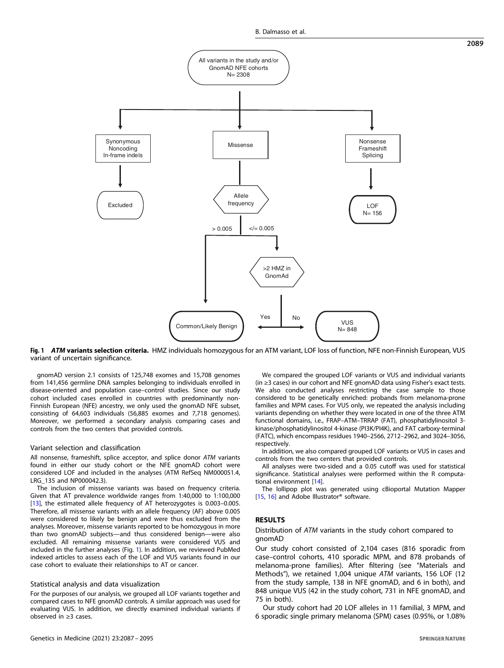

Fig. 1 ATM variants selection criteria. HMZ individuals homozygous for an ATM variant, LOF loss of function, NFE non-Finnish European, VUS variant of uncertain significance.

gnomAD version 2.1 consists of 125,748 exomes and 15,708 genomes from 141,456 germline DNA samples belonging to individuals enrolled in disease-oriented and population case–control studies. Since our study cohort included cases enrolled in countries with predominantly non-Finnish European (NFE) ancestry, we only used the gnomAD NFE subset, consisting of 64,603 individuals (56,885 exomes and 7,718 genomes). Moreover, we performed a secondary analysis comparing cases and controls from the two centers that provided controls.

#### Variant selection and classification

All nonsense, frameshift, splice acceptor, and splice donor ATM variants found in either our study cohort or the NFE gnomAD cohort were considered LOF and included in the analyses (ATM RefSeq NM000051.4, LRG\_135 and NP000042.3).

The inclusion of missense variants was based on frequency criteria. Given that AT prevalence worldwide ranges from 1:40,000 to 1:100,000 [\[13](#page-7-0)], the estimated allele frequency of AT heterozygotes is 0.003-0.005. Therefore, all missense variants with an allele frequency (AF) above 0.005 were considered to likely be benign and were thus excluded from the analyses. Moreover, missense variants reported to be homozygous in more than two gnomAD subjects—and thus considered benign—were also excluded. All remaining missense variants were considered VUS and included in the further analyses (Fig. 1). In addition, we reviewed PubMed indexed articles to assess each of the LOF and VUS variants found in our case cohort to evaluate their relationships to AT or cancer.

#### Statistical analysis and data visualization

For the purposes of our analysis, we grouped all LOF variants together and compared cases to NFE gnomAD controls. A similar approach was used for evaluating VUS. In addition, we directly examined individual variants if observed in ≥3 cases.

We compared the grouped LOF variants or VUS and individual variants (in ≥3 cases) in our cohort and NFE gnomAD data using Fisher's exact tests. We also conducted analyses restricting the case sample to those considered to be genetically enriched: probands from melanoma-prone families and MPM cases. For VUS only, we repeated the analysis including variants depending on whether they were located in one of the three ATM functional domains, i.e., FRAP–ATM–TRRAP (FAT), phosphatidylinositol 3 kinase/phosphatidylinositol 4-kinase (PI3K/PI4K), and FAT carboxy-terminal (FATC), which encompass residues 1940–2566, 2712–2962, and 3024–3056, respectively.

In addition, we also compared grouped LOF variants or VUS in cases and controls from the two centers that provided controls.

All analyses were two-sided and a 0.05 cutoff was used for statistical significance. Statistical analyses were performed within the R computational environment [[14](#page-7-0)].

The lollipop plot was generated using cBioportal Mutation Mapper [\[15](#page-7-0), [16\]](#page-7-0) and Adobe Illustrator<sup>®</sup> software.

# RESULTS

#### Distribution of ATM variants in the study cohort compared to gnomAD

Our study cohort consisted of 2,104 cases (816 sporadic from case–control cohorts, 410 sporadic MPM, and 878 probands of melanoma-prone families). After filtering (see "Materials and Methods"), we retained 1,004 unique ATM variants, 156 LOF (12 from the study sample, 138 in NFE gnomAD, and 6 in both), and 848 unique VUS (42 in the study cohort, 731 in NFE gnomAD, and 75 in both).

Our study cohort had 20 LOF alleles in 11 familial, 3 MPM, and 6 sporadic single primary melanoma (SPM) cases (0.95%, or 1.08%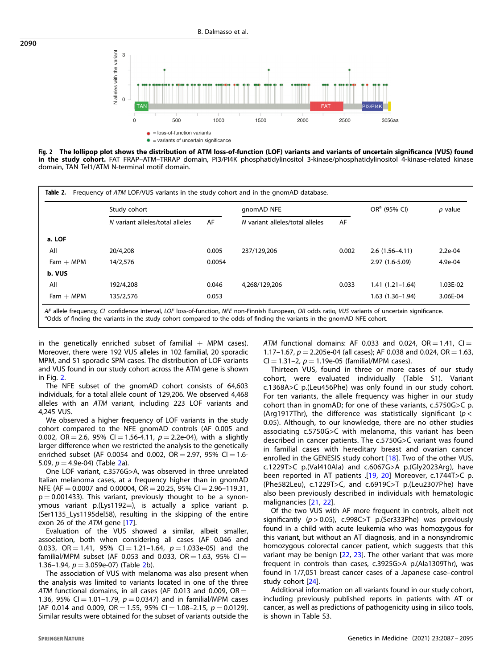

Fig. 2 The lollipop plot shows the distribution of ATM loss-of-function (LOF) variants and variants of uncertain significance (VUS) found in the study cohort. FAT FRAP-ATM-TRRAP domain, PI3/PI4K phosphatidylinositol 3-kinase/phosphatidylinositol 4-kinase-related kinase domain, TAN Tel1/ATM N-terminal motif domain.

|             | Study cohort                    |        | gnomAD NFE                      |       | OR <sup>a</sup> (95% CI) | $p$ value |
|-------------|---------------------------------|--------|---------------------------------|-------|--------------------------|-----------|
|             | N variant alleles/total alleles | AF     | N variant alleles/total alleles | AF    |                          |           |
| a. LOF      |                                 |        |                                 |       |                          |           |
| All         | 20/4,208                        | 0.005  | 237/129.206                     | 0.002 | $2.6(1.56-4.11)$         | $2.2e-04$ |
| $Fam + MPM$ | 14/2,576                        | 0.0054 |                                 |       | 2.97 (1.6-5.09)          | $4.9e-04$ |
| b. VUS      |                                 |        |                                 |       |                          |           |
| All         | 192/4.208                       | 0.046  | 4,268/129,206                   | 0.033 | 1.41 (1.21-1.64)         | 1.03E-02  |
| $Fam + MPM$ | 135/2.576                       | 0.053  |                                 |       | 1.63 (1.36-1.94)         | 3.06E-04  |

AF allele frequency, CI confidence interval, LOF loss-of-function, NFE non-Finnish European, OR odds ratio, VUS variants of uncertain significance. <sup>a</sup>Odds of finding the variants in the study cohort compared to the odds of finding the variants in the gnomAD NFE cohort.

in the genetically enriched subset of familial  $+$  MPM cases). Moreover, there were 192 VUS alleles in 102 familial, 20 sporadic MPM, and 51 sporadic SPM cases. The distribution of LOF variants and VUS found in our study cohort across the ATM gene is shown in Fig. 2.

The NFE subset of the gnomAD cohort consists of 64,603 individuals, for a total allele count of 129,206. We observed 4,468 alleles with an ATM variant, including 223 LOF variants and 4,245 VUS.

We observed a higher frequency of LOF variants in the study cohort compared to the NFE gnomAD controls (AF 0.005 and 0.002, OR = 2.6, 95% CI = 1.56-4.11,  $p = 2.2$ e-04), with a slightly larger difference when we restricted the analysis to the genetically enriched subset (AF 0.0054 and 0.002, OR = 2.97, 95% CI = 1.6-5.09,  $p = 4.9e-04$ ) (Table 2a).

One LOF variant, c.3576G>A, was observed in three unrelated Italian melanoma cases, at a frequency higher than in gnomAD NFE (AF = 0.0007 and 0.00004, OR = 20.25, 95% CI = 2.96-119.31,  $p = 0.001433$ ). This variant, previously thought to be a synonymous variant p.(Lys1192=), is actually a splice variant p. (Ser1135\_Lys1195del58), resulting in the skipping of the entire exon 26 of the ATM gene [\[17](#page-7-0)].

Evaluation of the VUS showed a similar, albeit smaller, association, both when considering all cases (AF 0.046 and 0.033, OR = 1.41, 95% CI = 1.21-1.64,  $p = 1.033e-05$ ) and the familial/MPM subset (AF 0.053 and 0.033, OR = 1.63, 95% CI = 1.36–1.94,  $p = 3.059e-07$ ) (Table 2b).

The association of VUS with melanoma was also present when the analysis was limited to variants located in one of the three ATM functional domains, in all cases (AF 0.013 and 0.009,  $OR =$ 1.36, 95% CI = 1.01-1.79,  $p = 0.0347$ ) and in familial/MPM cases (AF 0.014 and 0.009, OR = 1.55, 95% CI = 1.08-2.15,  $p = 0.0129$ ). Similar results were obtained for the subset of variants outside the ATM functional domains: AF 0.033 and 0.024,  $OR = 1.41$ ,  $CI =$ 1.17–1.67,  $p = 2.205e-04$  (all cases); AF 0.038 and 0.024, OR = 1.63,  $Cl = 1.31 - 2$ ,  $p = 1.19e-05$  (familial/MPM cases).

Thirteen VUS, found in three or more cases of our study cohort, were evaluated individually (Table S1). Variant c.1368A>C p.(Leu456Phe) was only found in our study cohort. For ten variants, the allele frequency was higher in our study cohort than in gnomAD; for one of these variants, c.5750G>C p. (Arg1917Thr), the difference was statistically significant ( $p <$ 0.05). Although, to our knowledge, there are no other studies associating c.5750G>C with melanoma, this variant has been described in cancer patients. The c.5750G>C variant was found in familial cases with hereditary breast and ovarian cancer enrolled in the GENESIS study cohort [[18](#page-7-0)]. Two of the other VUS, c.1229T>C p.(Val410Ala) and c.6067G>A p.(Gly2023Arg), have been reported in AT patients .[[19](#page-7-0), [20\]](#page-7-0) Moreover, c.1744T>C p. (Phe582Leu), c.1229T>C, and c.6919C>T p.(Leu2307Phe) have also been previously described in individuals with hematologic malignancies [[21](#page-7-0), [22](#page-7-0)].

Of the two VUS with AF more frequent in controls, albeit not significantly  $(p > 0.05)$ , c.998C>T p.(Ser333Phe) was previously found in a child with acute leukemia who was homozygous for this variant, but without an AT diagnosis, and in a nonsyndromic homozygous colorectal cancer patient, which suggests that this variant may be benign [\[22](#page-7-0), [23](#page-7-0)]. The other variant that was more frequent in controls than cases, c.3925G>A p.(Ala1309Thr), was found in 1/7,051 breast cancer cases of a Japanese case–control study cohort [[24](#page-7-0)].

Additional information on all variants found in our study cohort, including previously published reports in patients with AT or cancer, as well as predictions of pathogenicity using in silico tools, is shown in Table S3.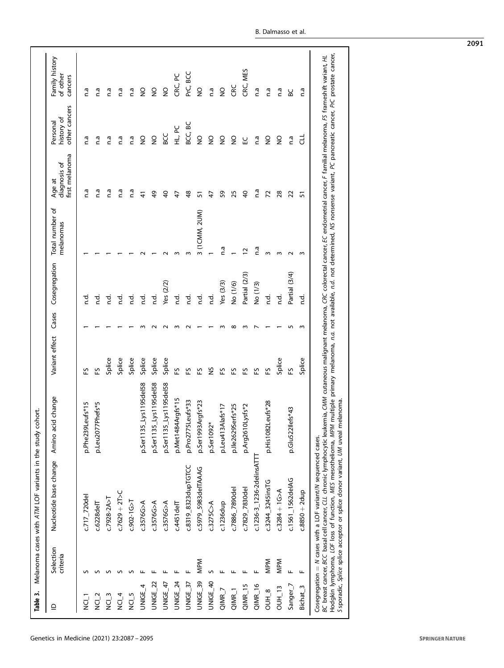<span id="page-4-0"></span>

| Table 3.             |                       | Melanoma cases with ATM LOF variants in the study c                                                                                                                                                                                                                                                                                                                                                                                                                                                                                                              | :ohort.                        |                |        |               |                              |                                          |                                         |                                       |
|----------------------|-----------------------|------------------------------------------------------------------------------------------------------------------------------------------------------------------------------------------------------------------------------------------------------------------------------------------------------------------------------------------------------------------------------------------------------------------------------------------------------------------------------------------------------------------------------------------------------------------|--------------------------------|----------------|--------|---------------|------------------------------|------------------------------------------|-----------------------------------------|---------------------------------------|
| $\supseteq$          | Selection<br>criteria | Nucleotide base change                                                                                                                                                                                                                                                                                                                                                                                                                                                                                                                                           | id change<br>Amino ac          | Variant effect | Cases  | Cosegregation | Total number of<br>melanomas | first melanoma<br>diagnosis of<br>Age at | other cancers<br>history of<br>Personal | Family history<br>of other<br>cancers |
| T_IDN                |                       | c.717 720del                                                                                                                                                                                                                                                                                                                                                                                                                                                                                                                                                     | p.Phe239Leufs*15               | 53             |        | ਟੂ            |                              | n.a                                      | n.a                                     | n.a                                   |
| NCI <sub>2</sub>     |                       | $c.6228d$ elT                                                                                                                                                                                                                                                                                                                                                                                                                                                                                                                                                    | p.Leu2077Phefs*5               | 55             |        | ਦੇ<br>ਪ       |                              | n.a                                      | r.a                                     | n.a                                   |
| $NC-3$               |                       | $C.7928 - 2A > T$                                                                                                                                                                                                                                                                                                                                                                                                                                                                                                                                                |                                | Splice         |        | 걸             |                              | n.a                                      | n.a                                     | n.a                                   |
| NCI_4                |                       | $c.7629 + 2T > C$                                                                                                                                                                                                                                                                                                                                                                                                                                                                                                                                                |                                | Splice         |        | نہ<br>c       |                              | n.a                                      | n.a                                     | n.a                                   |
| NCI <sub>5</sub>     |                       | $C.902 - 1G > T$                                                                                                                                                                                                                                                                                                                                                                                                                                                                                                                                                 |                                | Splice         |        | نہ<br>c       |                              | n.a                                      | n.a                                     | n.a                                   |
| UNIGE <sub>4</sub>   |                       | c.3576G > A                                                                                                                                                                                                                                                                                                                                                                                                                                                                                                                                                      | p.Ser1135_Lys1195del58         | Splice         |        | نہ<br>c       |                              | 41                                       | $\frac{0}{2}$                           | g                                     |
| UNIGE <sub>22</sub>  |                       | c.3576G > A                                                                                                                                                                                                                                                                                                                                                                                                                                                                                                                                                      | p.Ser1135_Lys1195del58         | Splice         |        | p.d           |                              | 49                                       | $\frac{1}{2}$                           | $\frac{0}{2}$                         |
| UNIGE_47             |                       | c.3576G > A                                                                                                                                                                                                                                                                                                                                                                                                                                                                                                                                                      | p.Ser1135_Lys1195del58         | Splice         |        | Yes $(2/2)$   |                              | $\overline{6}$                           | 9CC                                     | $\frac{0}{2}$                         |
| UNIGE_24             |                       | $c.4451$ delT                                                                                                                                                                                                                                                                                                                                                                                                                                                                                                                                                    | p.Met1484Argfs*15              | 55             |        | ਨ<br>ਪ        | m                            | A,                                       | HL, PC                                  | CRC, PC                               |
| UNIGE_37             |                       | c.8319_8323dupTGTCC                                                                                                                                                                                                                                                                                                                                                                                                                                                                                                                                              | p.Pro2775Leufs*33              | 53             |        | d.            | m                            | $\frac{8}{4}$                            | 9S<br>BCC,                              | PrC, BCC                              |
| UNIGE 39             | <b>MPM</b>            | c.5979 5983 delTAAAG                                                                                                                                                                                                                                                                                                                                                                                                                                                                                                                                             | p.Ser1993Argfs*23              | 53             |        | ਦੇ<br>ਪ       | 3 (1 CMM, 2 UM)              | 5                                        | $\frac{1}{2}$                           | $\frac{0}{2}$                         |
| UNIGE_40             | n                     | c.3275C > A                                                                                                                                                                                                                                                                                                                                                                                                                                                                                                                                                      | p.Ser1092*                     | S              |        | ਦੇ<br>ਪ       |                              | A,                                       | $\frac{1}{2}$                           | n.a                                   |
| $QIMR_7$             |                       | c.1236dup                                                                                                                                                                                                                                                                                                                                                                                                                                                                                                                                                        | p.Leu413Alafs*17               | 53             |        | Yes (3/3)     | n.a                          | 59                                       | $\frac{0}{2}$                           | $\frac{0}{2}$                         |
| $QIMR_1$             |                       | c.7886_7890del                                                                                                                                                                                                                                                                                                                                                                                                                                                                                                                                                   | p.lle2629Serfs*25              | 53             | ന      | No (1/6)      |                              | 25                                       | $\frac{0}{2}$                           | š                                     |
| $QIMR_15$            |                       | c.7829_7830del                                                                                                                                                                                                                                                                                                                                                                                                                                                                                                                                                   | p.Arg2610Lysfs*2               | 53             |        | Partial (2/3) | $\overline{c}$               | $\overline{40}$                          | 닚                                       | CRC, MES                              |
| QIMR_16              |                       | c.1236-3_1236-2delinsATT                                                                                                                                                                                                                                                                                                                                                                                                                                                                                                                                         |                                | 53             |        | No (1/3)      | n.a                          | n.a                                      | n.a                                     | n.a                                   |
| $OUH_8$              | <b>MPM</b>            | c.3244_3245insTG                                                                                                                                                                                                                                                                                                                                                                                                                                                                                                                                                 | p.His1082Leufs*28              | 53             |        | بہ<br>c       | m                            | 72                                       | $\frac{0}{2}$                           | n.a                                   |
| <b>OUH_13</b>        | <b>MPM</b>            | $c.3284 + 16 > A$                                                                                                                                                                                                                                                                                                                                                                                                                                                                                                                                                |                                | Splice         |        | ਰੂਂ           | $\sim$                       | 28                                       | $\frac{0}{2}$                           | n.a                                   |
| Sanger_7             | щ                     | c.1561_1562delAG                                                                                                                                                                                                                                                                                                                                                                                                                                                                                                                                                 | $\epsilon$ fs*43<br>p.Glu522ll | 53             | ιη     | Partial (3/4) | $\sim$                       | 22                                       | ñ.u                                     | 9C                                    |
| Bichat <sub>_3</sub> | щ                     | $c.8850 + 2dup$                                                                                                                                                                                                                                                                                                                                                                                                                                                                                                                                                  |                                | Splice         | $\sim$ | ್ಲೆ           | m                            | 57                                       | 급                                       | n.a                                   |
|                      |                       | Hodgkin lymphoma, LOF loss of function, MES mesothelioma, MPM multiple primary melanoma, n.a. not available, n.d. not determined, NS nonsense variant, PC pancreatic cancer, PrC prostate cancer,<br>BC breast cancer, BCC basal cell cancer, CLL chronic lymphocytic leukemia, CMM cutaneous malignant melanoma, CRC colorectal cancer, EC endometrial cancer, F familial melanoma, FS frameshift variant, HL<br>Ssporadic, Splice splice acceptor or splice donor variant, UM uveal melanoma.<br>Cosegregation = N cases with a LOF variant/N sequenced cases. |                                |                |        |               |                              |                                          |                                         |                                       |

2091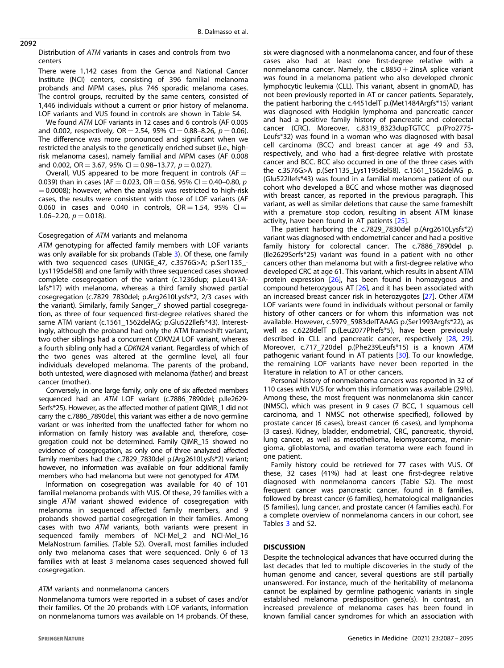### 2092

#### Distribution of ATM variants in cases and controls from two centers

There were 1,142 cases from the Genoa and National Cancer Institute (NCI) centers, consisting of 396 familial melanoma probands and MPM cases, plus 746 sporadic melanoma cases. The control groups, recruited by the same centers, consisted of 1,446 individuals without a current or prior history of melanoma. LOF variants and VUS found in controls are shown in Table S4.

We found ATM LOF variants in 12 cases and 6 controls (AF 0.005 and 0.002, respectively,  $OR = 2.54$ , 95% CI = 0.88-8.26,  $p = 0.06$ ). The difference was more pronounced and significant when we restricted the analysis to the genetically enriched subset (i.e., highrisk melanoma cases), namely familial and MPM cases (AF 0.008 and 0.002, OR = 3.67, 95% CI = 0.98-13.77,  $p = 0.027$ ).

Overall, VUS appeared to be more frequent in controls  $(AF =$ 0.039) than in cases (AF = 0.023, OR = 0.56, 95% CI = 0.40-0.80,  $p$  $= 0.0008$ ); however, when the analysis was restricted to high-risk cases, the results were consistent with those of LOF variants (AF 0.060 in cases and 0.040 in controls,  $OR = 1.54$ , 95%  $CI =$  $1.06 - 2.20$ ,  $p = 0.018$ ).

# Cosegregation of ATM variants and melanoma

ATM genotyping for affected family members with LOF variants was only available for six probands (Table [3\)](#page-4-0). Of these, one family with two sequenced cases (UNIGE\_47, c.3576G>A; p.Ser1135\_- Lys1195del58) and one family with three sequenced cases showed complete cosegregation of the variant (c.1236dup; p.Leu413Alafs\*17) with melanoma, whereas a third family showed partial cosegregation (c.7829\_7830del; p.Arg2610Lysfs\*2, 2/3 cases with the variant). Similarly, family Sanger\_7 showed partial cosegregation, as three of four sequenced first-degree relatives shared the same ATM variant (c.1561\_1562delAG; p.Glu522Ilefs\*43). Interestingly, although the proband had only the ATM frameshift variant, two other siblings had a concurrent CDKN2A LOF variant, whereas a fourth sibling only had a CDKN2A variant. Regardless of which of the two genes was altered at the germline level, all four individuals developed melanoma. The parents of the proband, both untested, were diagnosed with melanoma (father) and breast cancer (mother).

Conversely, in one large family, only one of six affected members sequenced had an ATM LOF variant (c.7886 7890del; p.Ile2629-Serfs\*25). However, as the affected mother of patient QIMR\_1 did not carry the c.7886\_7890del, this variant was either a de novo germline variant or was inherited from the unaffected father for whom no information on family history was available and, therefore, cosegregation could not be determined. Family QIMR\_15 showed no evidence of cosegregation, as only one of three analyzed affected family members had the c.7829\_7830del p.(Arg2610Lysfs\*2) variant; however, no information was available on four additional family members who had melanoma but were not genotyped for ATM.

Information on cosegregation was available for 40 of 101 familial melanoma probands with VUS. Of these, 29 families with a single ATM variant showed evidence of cosegregation with melanoma in sequenced affected family members, and 9 probands showed partial cosegregation in their families. Among cases with two ATM variants, both variants were present in sequenced family members of NCI-Mel\_2 and NCI-Mel\_16 MelaNostrum families. (Table S2). Overall, most families included only two melanoma cases that were sequenced. Only 6 of 13 families with at least 3 melanoma cases sequenced showed full cosegregation.

# ATM variants and nonmelanoma cancers

Nonmelanoma tumors were reported in a subset of cases and/or their families. Of the 20 probands with LOF variants, information on nonmelanoma tumors was available on 14 probands. Of these,

six were diagnosed with a nonmelanoma cancer, and four of these cases also had at least one first-degree relative with a nonmelanoma cancer. Namely, the  $c.8850 + 2$ insA splice variant was found in a melanoma patient who also developed chronic lymphocytic leukemia (CLL). This variant, absent in gnomAD, has not been previously reported in AT or cancer patients. Separately, the patient harboring the c.4451delT p.(Met1484Argfs\*15) variant was diagnosed with Hodgkin lymphoma and pancreatic cancer and had a positive family history of pancreatic and colorectal cancer (CRC). Moreover, c.8319\_8323dupTGTCC p.(Pro2775- Leufs\*32) was found in a woman who was diagnosed with basal cell carcinoma (BCC) and breast cancer at age 49 and 53, respectively, and who had a first-degree relative with prostate cancer and BCC. BCC also occurred in one of the three cases with the c.3576G>A p.(Ser1135\_Lys1195del58). c.1561\_1562delAG p. (Glu522Ilefs\*43) was found in a familial melanoma patient of our cohort who developed a BCC and whose mother was diagnosed with breast cancer, as reported in the previous paragraph. This variant, as well as similar deletions that cause the same frameshift with a premature stop codon, resulting in absent ATM kinase activity, have been found in AT patients [[25\]](#page-7-0).

The patient harboring the c.7829\_7830del p.(Arg2610Lysfs\*2) variant was diagnosed with endometrial cancer and had a positive family history for colorectal cancer. The c.7886\_7890del p. (Ile2629Serfs\*25) variant was found in a patient with no other cancers other than melanoma but with a first-degree relative who developed CRC at age 61. This variant, which results in absent ATM protein expression [\[26](#page-7-0)], has been found in homozygous and compound heterozygous AT [[26\]](#page-7-0), and it has been associated with an increased breast cancer risk in heterozygotes [\[27](#page-7-0)]. Other ATM LOF variants were found in individuals without personal or family history of other cancers or for whom this information was not available. However, c.5979\_5983delTAAAG p.(Ser1993Argfs\*22), as well as c.6228delT p.(Leu2077Phefs\*5), have been previously described in CLL and pancreatic cancer, respectively [\[28](#page-7-0), [29](#page-7-0)]. Moreover, c.717 720del p.(Phe239Leufs\*15) is a known ATM pathogenic variant found in AT patients [[30](#page-7-0)]. To our knowledge, the remaining LOF variants have never been reported in the literature in relation to AT or other cancers.

Personal history of nonmelanoma cancers was reported in 32 of 110 cases with VUS for whom this information was available (29%). Among these, the most frequent was nonmelanoma skin cancer (NMSC), which was present in 9 cases (7 BCC, 1 squamous cell carcinoma, and 1 NMSC not otherwise specified), followed by prostate cancer (6 cases), breast cancer (6 cases), and lymphoma (3 cases). Kidney, bladder, endometrial, CRC, pancreatic, thyroid, lung cancer, as well as mesothelioma, leiomyosarcoma, meningioma, glioblastoma, and ovarian teratoma were each found in one patient.

Family history could be retrieved for 77 cases with VUS. Of these, 32 cases (41%) had at least one first-degree relative diagnosed with nonmelanoma cancers (Table S2). The most frequent cancer was pancreatic cancer, found in 8 families, followed by breast cancer (6 families), hematological malignancies (5 families), lung cancer, and prostate cancer (4 families each). For a complete overview of nonmelanoma cancers in our cohort, see Tables [3](#page-4-0) and S2.

# DISCUSSION

Despite the technological advances that have occurred during the last decades that led to multiple discoveries in the study of the human genome and cancer, several questions are still partially unanswered. For instance, much of the heritability of melanoma cannot be explained by germline pathogenic variants in single established melanoma predisposition gene(s). In contrast, an increased prevalence of melanoma cases has been found in known familial cancer syndromes for which an association with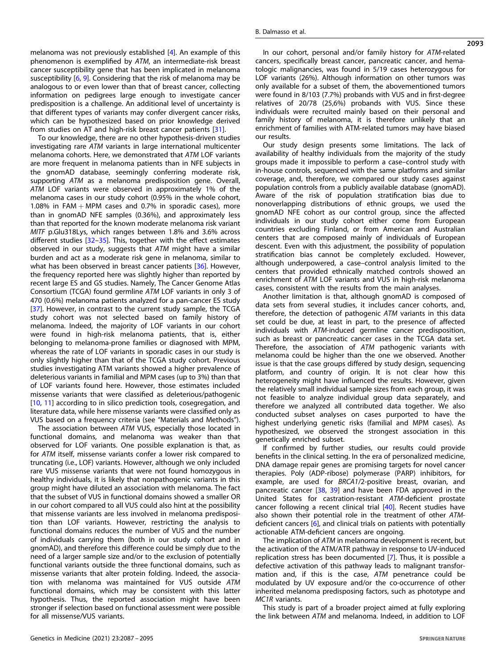melanoma was not previously established [\[4\]](#page-7-0). An example of this phenomenon is exemplified by ATM, an intermediate-risk breast cancer susceptibility gene that has been implicated in melanoma susceptibility [[6](#page-7-0), [9\]](#page-7-0). Considering that the risk of melanoma may be analogous to or even lower than that of breast cancer, collecting information on pedigrees large enough to investigate cancer predisposition is a challenge. An additional level of uncertainty is that different types of variants may confer divergent cancer risks, which can be hypothesized based on prior knowledge derived from studies on AT and high-risk breast cancer patients [[31\]](#page-7-0).

To our knowledge, there are no other hypothesis-driven studies investigating rare ATM variants in large international multicenter melanoma cohorts. Here, we demonstrated that ATM LOF variants are more frequent in melanoma patients than in NFE subjects in the gnomAD database, seemingly conferring moderate risk, supporting ATM as a melanoma predisposition gene. Overall, ATM LOF variants were observed in approximately 1% of the melanoma cases in our study cohort (0.95% in the whole cohort, 1.08% in FAM  $+$  MPM cases and 0.7% in sporadic cases), more than in gnomAD NFE samples (0.36%), and approximately less than that reported for the known moderate melanoma risk variant MITF p.Glu318Lys, which ranges between 1.8% and 3.6% across different studies [\[32](#page-7-0)–[35\]](#page-7-0). This, together with the effect estimates observed in our study, suggests that ATM might have a similar burden and act as a moderate risk gene in melanoma, similar to what has been observed in breast cancer patients [\[36\]](#page-7-0). However, the frequency reported here was slightly higher than reported by recent large ES and GS studies. Namely, The Cancer Genome Atlas Consortium (TCGA) found germline ATM LOF variants in only 3 of 470 (0.6%) melanoma patients analyzed for a pan-cancer ES study [\[37\]](#page-7-0). However, in contrast to the current study sample, the TCGA study cohort was not selected based on family history of melanoma. Indeed, the majority of LOF variants in our cohort were found in high-risk melanoma patients, that is, either belonging to melanoma-prone families or diagnosed with MPM, whereas the rate of LOF variants in sporadic cases in our study is only slightly higher than that of the TCGA study cohort. Previous studies investigating ATM variants showed a higher prevalence of deleterious variants in familial and MPM cases (up to 3%) than that of LOF variants found here. However, those estimates included missense variants that were classified as deleterious/pathogenic [\[10,](#page-7-0) [11](#page-7-0)] according to in silico prediction tools, cosegregation, and literature data, while here missense variants were classified only as VUS based on a frequency criteria (see "Materials and Methods").

The association between ATM VUS, especially those located in functional domains, and melanoma was weaker than that observed for LOF variants. One possible explanation is that, as for ATM itself, missense variants confer a lower risk compared to truncating (i.e., LOF) variants. However, although we only included rare VUS missense variants that were not found homozygous in healthy individuals, it is likely that nonpathogenic variants in this group might have diluted an association with melanoma. The fact that the subset of VUS in functional domains showed a smaller OR in our cohort compared to all VUS could also hint at the possibility that missense variants are less involved in melanoma predisposition than LOF variants. However, restricting the analysis to functional domains reduces the number of VUS and the number of individuals carrying them (both in our study cohort and in gnomAD), and therefore this difference could be simply due to the need of a larger sample size and/or to the exclusion of potentially functional variants outside the three functional domains, such as missense variants that alter protein folding. Indeed, the association with melanoma was maintained for VUS outside ATM functional domains, which may be consistent with this latter hypothesis. Thus, the reported association might have been stronger if selection based on functional assessment were possible for all missense/VUS variants.

In our cohort, personal and/or family history for ATM-related cancers, specifically breast cancer, pancreatic cancer, and hematologic malignancies, was found in 5/19 cases heterozygous for LOF variants (26%). Although information on other tumors was only available for a subset of them, the abovementioned tumors were found in 8/103 (7.7%) probands with VUS and in first-degree relatives of 20/78 (25,6%) probands with VUS. Since these individuals were recruited mainly based on their personal and family history of melanoma, it is therefore unlikely that an enrichment of families with ATM-related tumors may have biased our results.

Our study design presents some limitations. The lack of availability of healthy individuals from the majority of the study groups made it impossible to perform a case–control study with in-house controls, sequenced with the same platforms and similar coverage, and, therefore, we compared our study cases against population controls from a publicly available database (gnomAD). Aware of the risk of population stratification bias due to nonoverlapping distributions of ethnic groups, we used the gnomAD NFE cohort as our control group, since the affected individuals in our study cohort either come from European countries excluding Finland, or from American and Australian centers that are composed mainly of individuals of European descent. Even with this adjustment, the possibility of population stratification bias cannot be completely excluded. However, although underpowered, a case–control analysis limited to the centers that provided ethnically matched controls showed an enrichment of ATM LOF variants and VUS in high-risk melanoma cases, consistent with the results from the main analyses.

Another limitation is that, although gnomAD is composed of data sets from several studies, it includes cancer cohorts, and, therefore, the detection of pathogenic ATM variants in this data set could be due, at least in part, to the presence of affected individuals with ATM-induced germline cancer predisposition, such as breast or pancreatic cancer cases in the TCGA data set. Therefore, the association of ATM pathogenic variants with melanoma could be higher than the one we observed. Another issue is that the case groups differed by study design, sequencing platform, and country of origin. It is not clear how this heterogeneity might have influenced the results. However, given the relatively small individual sample sizes from each group, it was not feasible to analyze individual group data separately, and therefore we analyzed all contributed data together. We also conducted subset analyses on cases purported to have the highest underlying genetic risks (familial and MPM cases). As hypothesized, we observed the strongest association in this genetically enriched subset.

If confirmed by further studies, our results could provide benefits in the clinical setting. In the era of personalized medicine, DNA damage repair genes are promising targets for novel cancer therapies. Poly (ADP-ribose) polymerase (PARP) inhibitors, for example, are used for BRCA1/2-positive breast, ovarian, and pancreatic cancer [\[38,](#page-7-0) [39](#page-7-0)] and have been FDA approved in the United States for castration-resistant ATM-deficient prostate cancer following a recent clinical trial [[40](#page-7-0)]. Recent studies have also shown their potential role in the treatment of other ATMdeficient cancers [\[6\]](#page-7-0), and clinical trials on patients with potentially actionable ATM-deficient cancers are ongoing.

The implication of ATM in melanoma development is recent, but the activation of the ATM/ATR pathway in response to UV-induced replication stress has been documented [\[7\]](#page-7-0). Thus, it is possible a defective activation of this pathway leads to malignant transformation and, if this is the case, ATM penetrance could be modulated by UV exposure and/or the co-occurrence of other inherited melanoma predisposing factors, such as phototype and MC1R variants.

This study is part of a broader project aimed at fully exploring the link between ATM and melanoma. Indeed, in addition to LOF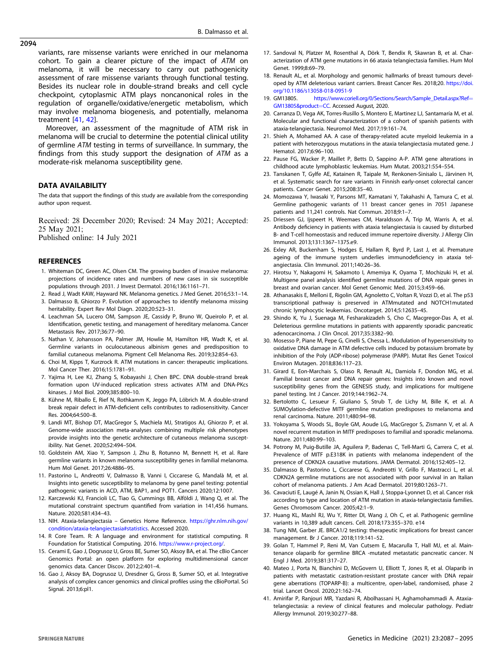<span id="page-7-0"></span>variants, rare missense variants were enriched in our melanoma cohort. To gain a clearer picture of the impact of ATM on melanoma, it will be necessary to carry out pathogenicity assessment of rare missense variants through functional testing. Besides its nuclear role in double-strand breaks and cell cycle checkpoint, cytoplasmic ATM plays noncanonical roles in the regulation of organelle/oxidative/energetic metabolism, which may involve melanoma biogenesis, and potentially, melanoma treatment [41, [42](#page-8-0)].

Moreover, an assessment of the magnitude of ATM risk in melanoma will be crucial to determine the potential clinical utility of germline ATM testing in terms of surveillance. In summary, the findings from this study support the designation of ATM as a moderate-risk melanoma susceptibility gene.

## DATA AVAILABILITY

The data that support the findings of this study are available from the corresponding author upon request.

Received: 28 December 2020; Revised: 24 May 2021; Accepted: 25 May 2021; Published online: 14 July 2021

# **REFERENCES**

- 1. Whiteman DC, Green AC, Olsen CM. The growing burden of invasive melanoma: projections of incidence rates and numbers of new cases in six susceptible populations through 2031. J Invest Dermatol. 2016;136:1161–71.
- 2. Read J, Wadt KAW, Hayward NK. Melanoma genetics. J Med Genet. 2016;53:1–14.
- 3. Dalmasso B, Ghiorzo P. Evolution of approaches to identify melanoma missing heritability. Expert Rev Mol Diagn. 2020;20:523–31.
- 4. Leachman SA, Lucero OM, Sampson JE, Cassidy P, Bruno W, Queirolo P, et al. Identification, genetic testing, and management of hereditary melanoma. Cancer Metastasis Rev. 2017;36:77–90.
- 5. Nathan V, Johansson PA, Palmer JM, Howlie M, Hamilton HR, Wadt K, et al. Germline variants in oculocutaneous albinism genes and predisposition to familial cutaneous melanoma. Pigment Cell Melanoma Res. 2019:32:854-63.
- 6. Choi M, Kipps T, Kurzrock R. ATM mutations in cancer: therapeutic implications. Mol Cancer Ther. 2016;15:1781–91.
- 7. Yajima H, Lee KJ, Zhang S, Kobayashi J, Chen BPC. DNA double-strand break formation upon UV-induced replication stress activates ATM and DNA-PKcs kinases. J Mol Biol. 2009;385:800–10.
- 8. Kühne M, Riballo E, Rief N, Rothkamm K, Jeggo PA, Löbrich M. A double-strand break repair defect in ATM-deficient cells contributes to radiosensitivity. Cancer Res. 2004;64:500–8.
- 9. Landi MT, Bishop DT, MacGregor S, Machiela MJ, Stratigos AJ, Ghiorzo P, et al. Genome-wide association meta-analyses combining multiple risk phenotypes provide insights into the genetic architecture of cutaneous melanoma susceptibility. Nat Genet. 2020;52:494–504.
- 10. Goldstein AM, Xiao Y, Sampson J, Zhu B, Rotunno M, Bennett H, et al. Rare germline variants in known melanoma susceptibility genes in familial melanoma. Hum Mol Genet. 2017;26:4886–95.
- 11. Pastorino L, Andreotti V, Dalmasso B, Vanni I, Ciccarese G, Mandalà M, et al. Insights into genetic susceptibility to melanoma by gene panel testing: potential pathogenic variants in ACD, ATM, BAP1, and POT1. Cancers 2020;12:1007.
- 12. Karczewski KJ, Francioli LC, Tiao G, Cummings BB, Alföldi J, Wang Q, et al. The mutational constraint spectrum quantified from variation in 141,456 humans. Nature. 2020;581:434–43.
- 13. NIH. Ataxia-telangiectasia Genetics Home Reference. [https://ghr.nlm.nih.gov/](https://ghr.nlm.nih.gov/condition/ataxia-telangiectasia#statistics) [condition/ataxia-telangiectasia#statistics.](https://ghr.nlm.nih.gov/condition/ataxia-telangiectasia#statistics) Accessed 2020.
- 14. R Core Team. R: A language and environment for statistical computing. R Foundation for Statistical Computing. 2016. <https://www.r-project.org/>.
- 15. Cerami E, Gao J, Dogrusoz U, Gross BE, Sumer SO, Aksoy BA, et al. The cBio Cancer Genomics Portal: an open platform for exploring multidimensional cancer genomics data. Cancer Discov. 2012;2:401–4.
- 16. Gao J, Aksoy BA, Dogrusoz U, Dresdner G, Gross B, Sumer SO, et al. Integrative analysis of complex cancer genomics and clinical profiles using the cBioPortal. Sci Signal. 2013;6:pl1.
- 17. Sandoval N, Platzer M, Rosenthal A, Dörk T, Bendix R, Skawran B, et al. Characterization of ATM gene mutations in 66 ataxia telangiectasia families. Hum Mol Genet. 1999;8:69–79.
- 18. Renault AL, et al. Morphology and genomic hallmarks of breast tumours developed by ATM deleterious variant carriers. Breast Cancer Res. 2018;20. [https://doi.](https://doi.org/10.1186/s13058-018-0951-9) [org/10.1186/s13058-018-0951-9](https://doi.org/10.1186/s13058-018-0951-9)
- 19. GM13805. [https://www.coriell.org/0/Sections/Search/Sample\\_Detail.aspx?Ref](https://www.coriell.org/0/Sections/Search/Sample_Detail.aspx?Ref=GM13805&product=CC)= [GM13805&product](https://www.coriell.org/0/Sections/Search/Sample_Detail.aspx?Ref=GM13805&product=CC)=CC. Accessed August, 2020.
- 20. Carranza D, Vega AK, Torres-Rusillo S, Montero E, Martinez LJ, Santamaría M, et al. Molecular and functional characterization of a cohort of spanish patients with ataxia-telangiectasia. Neuromol Med. 2017;19:161–74.
- 21. Shieh A, Mohamed AA. A case of therapy-related acute myeloid leukemia in a patient with heterozygous mutations in the ataxia telangiectasia mutated gene. J Hematol. 2017;6:96–100.
- 22. Pause FG, Wacker P, Maillet P, Betts D, Sappino A-P. ATM gene alterations in childhood acute lymphoblastic leukemias. Hum Mutat. 2003;21:554–554.
- 23. Tanskanen T, Gylfe AE, Katainen R, Taipale M, Renkonen-Sinisalo L, Järvinen H, et al. Systematic search for rare variants in Finnish early-onset colorectal cancer patients. Cancer Genet. 2015;208:35–40.
- 24. Momozawa Y, Iwasaki Y, Parsons MT, Kamatani Y, Takahashi A, Tamura C, et al. Germline pathogenic variants of 11 breast cancer genes in 7051 Japanese patients and 11,241 controls. Nat Commun. 2018;9:1–7.
- 25. Driessen GJ, Ijspeert H, Weemaes CM, Haraldsson Á, Trip M, Warris A, et al. Antibody deficiency in patients with ataxia telangiectasia is caused by disturbed B- and T-cell homeostasis and reduced immune repertoire diversity. J Allergy Clin Immunol. 2013;131:1367–1375.e9.
- 26. Exley AR, Buckenham S, Hodges E, Hallam R, Byrd P, Last J, et al. Premature ageing of the immune system underlies immunodeficiency in ataxia telangiectasia. Clin Immunol. 2011;140:26–36.
- 27. Hirotsu Y, Nakagomi H, Sakamoto I, Amemiya K, Oyama T, Mochizuki H, et al. Multigene panel analysis identified germline mutations of DNA repair genes in breast and ovarian cancer. Mol Genet Genomic Med. 2015;3:459–66.
- 28. Athanasakis E, Melloni E, Rigolin GM, Agnoletto C, Voltan R, Vozzi D, et al. The p53 transcriptional pathway is preserved in ATMmutated and NOTCH1mutated chronic lymphocytic leukemias. Oncotarget. 2014;5:12635–45.
- 29. Shindo K, Yu J, Suenaga M, Fesharakizadeh S, Cho C, Macgregor-Das A, et al. Deleterious germline mutations in patients with apparently sporadic pancreatic adenocarcinoma. J Clin Oncol. 2017;35:3382–90.
- 30. Mosesso P, Piane M, Pepe G, Cinelli S, Chessa L. Modulation of hypersensitivity to oxidative DNA damage in ATM defective cells induced by potassium bromate by inhibition of the Poly (ADP-ribose) polymerase (PARP). Mutat Res Genet Toxicol Environ Mutagen. 2018;836:117–23.
- 31. Girard E, Eon-Marchais S, Olaso R, Renault AL, Damiola F, Dondon MG, et al. Familial breast cancer and DNA repair genes: Insights into known and novel susceptibility genes from the GENESIS study, and implications for multigene panel testing. Int J Cancer. 2019;144:1962–74.
- 32. Bertolotto C, Lesueur F, Giuliano S, Strub T, de Lichy M, Bille K, et al. A SUMOylation-defective MITF germline mutation predisposes to melanoma and renal carcinoma. Nature. 2011;480:94–98.
- 33. Yokoyama S, Woods SL, Boyle GM, Aoude LG, MacGregor S, Zismann V, et al. A novel recurrent mutation in MITF predisposes to familial and sporadic melanoma. Nature. 2011;480:99–103.
- 34. Potrony M, Puig-Butille JA, Aguilera P, Badenas C, Tell-Marti G, Carrera C, et al. Prevalence of MITF p.E318K in patients with melanoma independent of the presence of CDKN2A causative mutations. JAMA Dermatol. 2016;152:405–12.
- 35. Dalmasso B, Pastorino L, Ciccarese G, Andreotti V, Grillo F, Mastracci L, et al. CDKN2A germline mutations are not associated with poor survival in an Italian cohort of melanoma patients. J Am Acad Dermatol. 2019;80:1263–71.
- 36. Cavaciuti E, Laugé A, Janin N, Ossian K, Hall J, Stoppa-Lyonnet D, et al. Cancer risk according to type and location of ATM mutation in ataxia-telangiectasia families. Genes Chromosom Cancer. 2005;42:1–9.
- 37. Huang KL, Mashl RJ, Wu Y, Ritter DI, Wang J, Oh C, et al. Pathogenic germline variants in 10,389 adult cancers. Cell. 2018;173:355–370. e14
- 38. Tung NM, Garber JE. BRCA1/2 testing: therapeutic implications for breast cancer management. Br J Cancer. 2018;119:141–52.
- 39. Golan T, Hammel P, Reni M, Van Cutsem E, Macarulla T, Hall MJ, et al. Maintenance olaparib for germline BRCA -mutated metastatic pancreatic cancer. N Engl J Med. 2019;381:317–27.
- 40. Mateo J, Porta N, Bianchini D, McGovern U, Elliott T, Jones R, et al. Olaparib in patients with metastatic castration-resistant prostate cancer with DNA repair gene aberrations (TOPARP-B): a multicentre, open-label, randomised, phase 2 trial. Lancet Oncol. 2020;21:162–74.
- 41. Amirifar P, Ranjouri MR, Yazdani R, Abolhassani H, Aghamohammadi A. Ataxiatelangiectasia: a review of clinical features and molecular pathology. Pediatr Allergy Immunol. 2019;30:277–88.